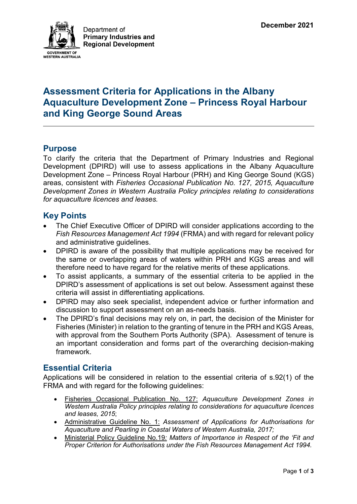

# **Assessment Criteria for Applications in the Albany Aquaculture Development Zone – Princess Royal Harbour and King George Sound Areas**

### **Purpose**

To clarify the criteria that the Department of Primary Industries and Regional Development (DPIRD) will use to assess applications in the Albany Aquaculture Development Zone – Princess Royal Harbour (PRH) and King George Sound (KGS) areas, consistent with *Fisheries Occasional Publication No. 127, 2015, Aquaculture Development Zones in Western Australia Policy principles relating to considerations for aquaculture licences and leases.*

### **Key Points**

- The Chief Executive Officer of DPIRD will consider applications according to the *Fish Resources Management Act 1994* (FRMA) and with regard for relevant policy and administrative guidelines.
- DPIRD is aware of the possibility that multiple applications may be received for the same or overlapping areas of waters within PRH and KGS areas and will therefore need to have regard for the relative merits of these applications.
- To assist applicants, a summary of the essential criteria to be applied in the DPIRD's assessment of applications is set out below. Assessment against these criteria will assist in differentiating applications.
- DPIRD may also seek specialist, independent advice or further information and discussion to support assessment on an as-needs basis.
- The DPIRD's final decisions may rely on, in part, the decision of the Minister for Fisheries (Minister) in relation to the granting of tenure in the PRH and KGS Areas, with approval from the Southern Ports Authority (SPA). Assessment of tenure is an important consideration and forms part of the overarching decision-making framework.

## **Essential Criteria**

Applications will be considered in relation to the essential criteria of s.92(1) of the FRMA and with regard for the following guidelines:

- Fisheries Occasional Publication No. 127: *Aquaculture Development Zones in Western Australia Policy principles relating to considerations for aquaculture licences and leases, 2015*;
- Administrative Guideline No. 1: *Assessment of Applications for Authorisations for Aquaculture and Pearling in Coastal Waters of Western Australia, 2017;*
- Ministerial Policy Guideline No.19*: Matters of Importance in Respect of the 'Fit and Proper Criterion for Authorisations under the Fish Resources Management Act 1994.*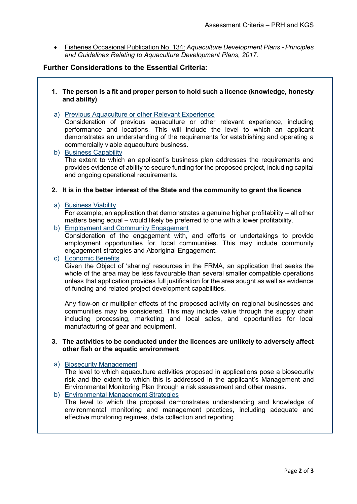• Fisheries Occasional Publication No. 134: *Aquaculture Development Plans - Principles and Guidelines Relating to Aquaculture Development Plans, 2017.* 

### **Further Considerations to the Essential Criteria:**

- **1. The person is a fit and proper person to hold such a licence (knowledge, honesty and ability)**
- a) Previous Aquaculture or other Relevant Experience Consideration of previous aquaculture or other relevant experience, including performance and locations. This will include the level to which an applicant demonstrates an understanding of the requirements for establishing and operating a commercially viable aquaculture business.
- b) Business Capability The extent to which an applicant's business plan addresses the requirements and provides evidence of ability to secure funding for the proposed project, including capital and ongoing operational requirements.

#### **2. It is in the better interest of the State and the community to grant the licence**

#### a) Business Viability

For example, an application that demonstrates a genuine higher profitability – all other matters being equal – would likely be preferred to one with a lower profitability.

b) Employment and Community Engagement Consideration of the engagement with, and efforts or undertakings to provide employment opportunities for, local communities. This may include community engagement strategies and Aboriginal Engagement.

#### c) Economic Benefits

Given the Object of 'sharing' resources in the FRMA, an application that seeks the whole of the area may be less favourable than several smaller compatible operations unless that application provides full justification for the area sought as well as evidence of funding and related project development capabilities.

Any flow-on or multiplier effects of the proposed activity on regional businesses and communities may be considered. This may include value through the supply chain including processing, marketing and local sales, and opportunities for local manufacturing of gear and equipment.

#### **3. The activities to be conducted under the licences are unlikely to adversely affect other fish or the aquatic environment**

#### a) Biosecurity Management

The level to which aquaculture activities proposed in applications pose a biosecurity risk and the extent to which this is addressed in the applicant's Management and Environmental Monitoring Plan through a risk assessment and other means.

#### b) Environmental Management Strategies

The level to which the proposal demonstrates understanding and knowledge of environmental monitoring and management practices, including adequate and effective monitoring regimes, data collection and reporting.